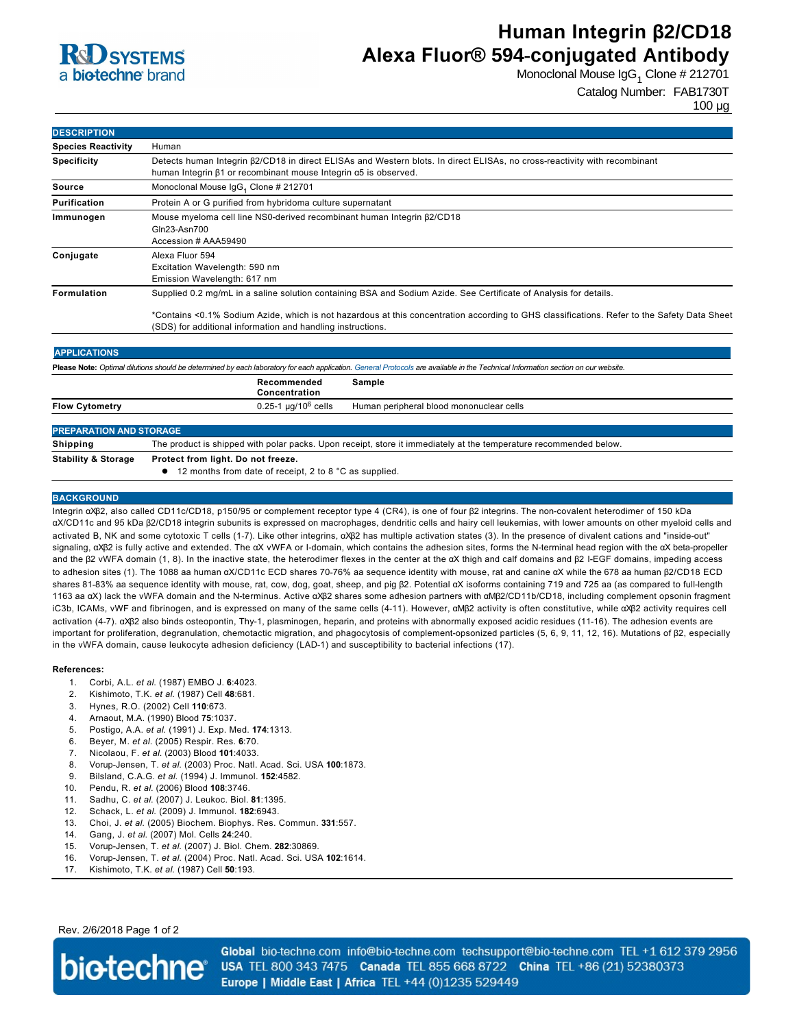

# **Human Integrin β2/CD18 Alexa Fluor® 594-conjugated Antibody**

Monoclonal Mouse IgG<sub>1</sub> Clone # 212701

Catalog Number: FAB1730T

100 µg

| <b>DESCRIPTION</b>                                                                                                                                                                |                                                                                                                                                                                                                                                                                                                                 |
|-----------------------------------------------------------------------------------------------------------------------------------------------------------------------------------|---------------------------------------------------------------------------------------------------------------------------------------------------------------------------------------------------------------------------------------------------------------------------------------------------------------------------------|
| <b>Species Reactivity</b>                                                                                                                                                         | Human                                                                                                                                                                                                                                                                                                                           |
| <b>Specificity</b>                                                                                                                                                                | Detects human Integrin $\beta$ 2/CD18 in direct ELISAs and Western blots. In direct ELISAs, no cross-reactivity with recombinant<br>human Integrin β1 or recombinant mouse Integrin α5 is observed.                                                                                                                             |
| <b>Source</b>                                                                                                                                                                     | Monoclonal Mouse IgG <sub>1</sub> Clone # 212701                                                                                                                                                                                                                                                                                |
| <b>Purification</b>                                                                                                                                                               | Protein A or G purified from hybridoma culture supernatant                                                                                                                                                                                                                                                                      |
| Immunogen                                                                                                                                                                         | Mouse myeloma cell line NS0-derived recombinant human Integrin β2/CD18<br>Gln23-Asn700<br>Accession # AAA59490                                                                                                                                                                                                                  |
| Conjugate                                                                                                                                                                         | Alexa Fluor 594<br>Excitation Wavelength: 590 nm<br>Emission Wavelength: 617 nm                                                                                                                                                                                                                                                 |
| Formulation                                                                                                                                                                       | Supplied 0.2 mg/mL in a saline solution containing BSA and Sodium Azide. See Certificate of Analysis for details.<br>*Contains <0.1% Sodium Azide, which is not hazardous at this concentration according to GHS classifications. Refer to the Safety Data Sheet<br>(SDS) for additional information and handling instructions. |
| <b>APPLICATIONS</b>                                                                                                                                                               |                                                                                                                                                                                                                                                                                                                                 |
| Please Note: Optimal dilutions should be determined by each laboratory for each application. General Protocols are available in the Technical Information section on our website. |                                                                                                                                                                                                                                                                                                                                 |
|                                                                                                                                                                                   | Recommended<br>Sample<br>Concentration                                                                                                                                                                                                                                                                                          |
| <b>Flow Cytometry</b>                                                                                                                                                             | $0.25 - 1 \mu q/10^6$ cells<br>Human peripheral blood mononuclear cells                                                                                                                                                                                                                                                         |
| <b>PREPARATION AND STORAGE</b>                                                                                                                                                    |                                                                                                                                                                                                                                                                                                                                 |
| Shipping                                                                                                                                                                          | The product is shipped with polar packs. Upon receipt, store it immediately at the temperature recommended below.                                                                                                                                                                                                               |
| <b>Stability &amp; Storage</b>                                                                                                                                                    | Protect from light. Do not freeze.                                                                                                                                                                                                                                                                                              |
|                                                                                                                                                                                   | 12 months from date of receipt, 2 to 8 °C as supplied.                                                                                                                                                                                                                                                                          |

### **BACKGROUND**

Integrin αXβ2, also called CD11c/CD18, p150/95 or complement receptor type 4 (CR4), is one of four β2 integrins. The noncovalent heterodimer of 150 kDa αX/CD11c and 95 kDa β2/CD18 integrin subunits is expressed on macrophages, dendritic cells and hairy cell leukemias, with lower amounts on other myeloid cells and activated B, NK and some cytotoxic T cells (1-7). Like other integrins, αXβ2 has multiple activation states (3). In the presence of divalent cations and "inside-out" signaling, αXβ2 is fully active and extended. The αX vWFA or I-domain, which contains the adhesion sites, forms the N-terminal head region with the αX beta-propeller and the β2 vWFA domain (1, 8). In the inactive state, the heterodimer flexes in the center at the αX thigh and calf domains and β2 IEGF domains, impeding access to adhesion sites (1). The 1088 aa human αX/CD11c ECD shares 7076% aa sequence identity with mouse, rat and canine αX while the 678 aa human β2/CD18 ECD shares 8183% aa sequence identity with mouse, rat, cow, dog, goat, sheep, and pig β2. Potential αX isoforms containing 719 and 725 aa (as compared to fulllength 1163 aa αX) lack the vWFA domain and the Nterminus. Active αXβ2 shares some adhesion partners with αMβ2/CD11b/CD18, including complement opsonin fragment iC3b, ICAMs, vWF and fibrinogen, and is expressed on many of the same cells (411). However, αMβ2 activity is often constitutive, while αXβ2 activity requires cell activation (47). αXβ2 also binds osteopontin, Thy1, plasminogen, heparin, and proteins with abnormally exposed acidic residues (1116). The adhesion events are important for proliferation, degranulation, chemotactic migration, and phagocytosis of complement-opsonized particles (5, 6, 9, 11, 12, 16). Mutations of β2, especially in the vWFA domain, cause leukocyte adhesion deficiency (LAD-1) and susceptibility to bacterial infections (17).

#### **References:**

- 1. Corbi, A.L. *et al*. (1987) EMBO J. **6**:4023.
- 2. Kishimoto, T.K. *et al*. (1987) Cell **48**:681.
- 3. Hynes, R.O. (2002) Cell **110**:673.
- 4. Arnaout, M.A. (1990) Blood **75**:1037.
- 5. Postigo, A.A. *et al*. (1991) J. Exp. Med. **174**:1313.
- 6. Beyer, M. *et al*. (2005) Respir. Res. **6**:70.
- 7. Nicolaou, F. *et al*. (2003) Blood **101**:4033.
- 8. VorupJensen, T. *et al*. (2003) Proc. Natl. Acad. Sci. USA **100**:1873.
- 9. Bilsland, C.A.G. *et al*. (1994) J. Immunol. **152**:4582.
- 10. Pendu, R. *et al*. (2006) Blood **108**:3746.
- 11. Sadhu, C. *et al*. (2007) J. Leukoc. Biol. **81**:1395.
- 12. Schack, L. *et al*. (2009) J. Immunol. **182**:6943.
- 13. Choi, J. *et al*. (2005) Biochem. Biophys. Res. Commun. **331**:557.
- 14. Gang, J. *et al*. (2007) Mol. Cells **24**:240.
- 15. Vorup-Jensen, T. et al. (2007) J. Biol. Chem. 282:30869.
- 16. VorupJensen, T. *et al*. (2004) Proc. Natl. Acad. Sci. USA **102**:1614.
- 17. Kishimoto, T.K. *et al*. (1987) Cell **50**:193.

Rev. 2/6/2018 Page 1 of 2



Global bio-techne.com info@bio-techne.com techsupport@bio-techne.com TEL +1 612 379 2956 USA TEL 800 343 7475 Canada TEL 855 668 8722 China TEL +86 (21) 52380373 Europe | Middle East | Africa TEL +44 (0)1235 529449